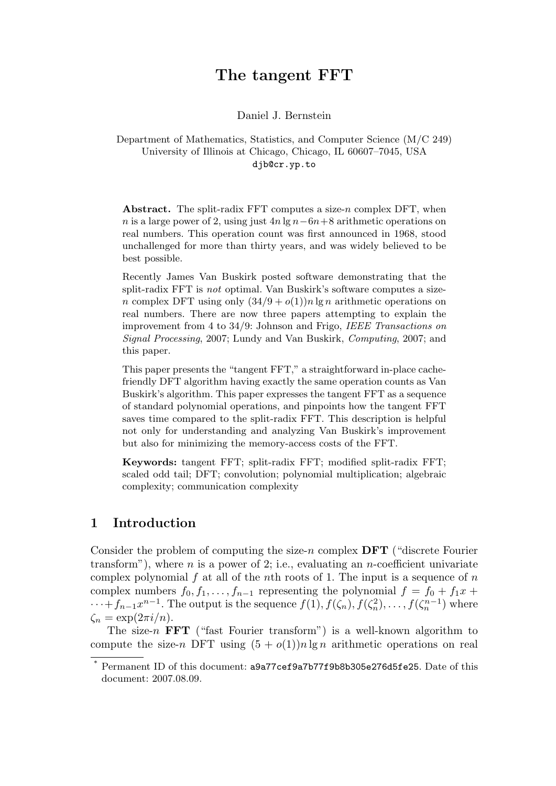# The tangent FFT

Daniel J. Bernstein

Department of Mathematics, Statistics, and Computer Science (M/C 249) University of Illinois at Chicago, Chicago, IL 60607–7045, USA djb@cr.yp.to

Abstract. The split-radix FFT computes a size-n complex DFT, when n is a large power of 2, using just  $4n \lg n - 6n + 8$  arithmetic operations on real numbers. This operation count was first announced in 1968, stood unchallenged for more than thirty years, and was widely believed to be best possible.

Recently James Van Buskirk posted software demonstrating that the split-radix FFT is not optimal. Van Buskirk's software computes a sizen complex DFT using only  $(34/9 + o(1))n \lg n$  arithmetic operations on real numbers. There are now three papers attempting to explain the improvement from 4 to 34/9: Johnson and Frigo, IEEE Transactions on Signal Processing, 2007; Lundy and Van Buskirk, Computing, 2007; and this paper.

This paper presents the "tangent FFT," a straightforward in-place cachefriendly DFT algorithm having exactly the same operation counts as Van Buskirk's algorithm. This paper expresses the tangent FFT as a sequence of standard polynomial operations, and pinpoints how the tangent FFT saves time compared to the split-radix FFT. This description is helpful not only for understanding and analyzing Van Buskirk's improvement but also for minimizing the memory-access costs of the FFT.

Keywords: tangent FFT; split-radix FFT; modified split-radix FFT; scaled odd tail; DFT; convolution; polynomial multiplication; algebraic complexity; communication complexity

# 1 Introduction

Consider the problem of computing the size-n complex  $\overline{DFT}$  ("discrete Fourier") transform"), where *n* is a power of 2; i.e., evaluating an *n*-coefficient univariate complex polynomial  $f$  at all of the nth roots of 1. The input is a sequence of  $n$ complex numbers  $f_0, f_1, \ldots, f_{n-1}$  representing the polynomial  $f = f_0 + f_1 x + f_2 x$  $\cdots + f_{n-1}x^{n-1}$ . The output is the sequence  $f(1), f(\zeta_n), f(\zeta_n^2), \ldots, f(\zeta_n^{n-1})$  where  $\zeta_n = \exp(2\pi i/n).$ 

The size-n **FFT** ("fast Fourier transform") is a well-known algorithm to compute the size-n DFT using  $(5 + o(1))n \lg n$  arithmetic operations on real

Permanent ID of this document: a9a77cef9a7b77f9b8b305e276d5fe25. Date of this document: 2007.08.09.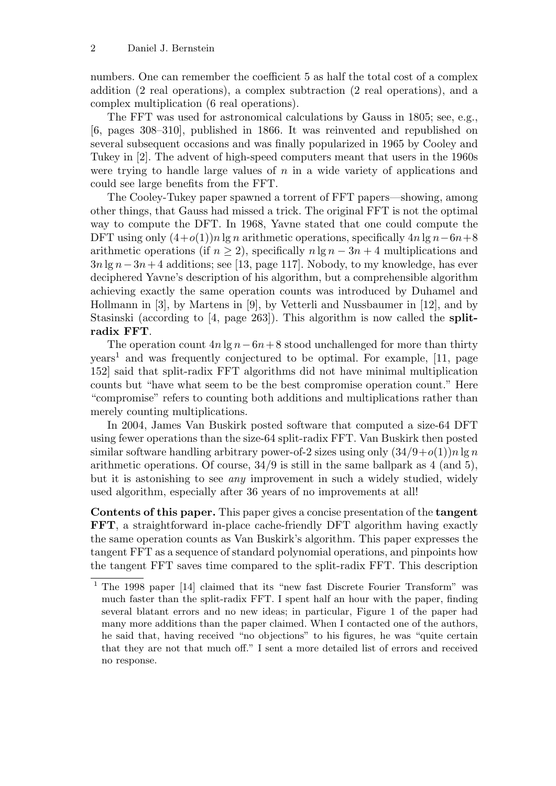numbers. One can remember the coefficient 5 as half the total cost of a complex addition (2 real operations), a complex subtraction (2 real operations), and a complex multiplication (6 real operations).

The FFT was used for astronomical calculations by Gauss in 1805; see, e.g., [6, pages 308–310], published in 1866. It was reinvented and republished on several subsequent occasions and was finally popularized in 1965 by Cooley and Tukey in [2]. The advent of high-speed computers meant that users in the 1960s were trying to handle large values of  $n$  in a wide variety of applications and could see large benefits from the FFT.

The Cooley-Tukey paper spawned a torrent of FFT papers—showing, among other things, that Gauss had missed a trick. The original FFT is not the optimal way to compute the DFT. In 1968, Yavne stated that one could compute the DFT using only  $(4+o(1))n \lg n$  arithmetic operations, specifically  $4n \lg n - 6n+8$ arithmetic operations (if  $n \geq 2$ ), specifically  $n \lg n - 3n + 4$  multiplications and  $3n \lg n-3n+4$  additions; see [13, page 117]. Nobody, to my knowledge, has ever deciphered Yavne's description of his algorithm, but a comprehensible algorithm achieving exactly the same operation counts was introduced by Duhamel and Hollmann in [3], by Martens in [9], by Vetterli and Nussbaumer in [12], and by Stasinski (according to [4, page 263]). This algorithm is now called the splitradix FFT.

The operation count  $4n \lg n - 6n + 8$  stood unchallenged for more than thirty years<sup>1</sup> and was frequently conjectured to be optimal. For example, [11, page 152] said that split-radix FFT algorithms did not have minimal multiplication counts but "have what seem to be the best compromise operation count." Here "compromise" refers to counting both additions and multiplications rather than merely counting multiplications.

In 2004, James Van Buskirk posted software that computed a size-64 DFT using fewer operations than the size-64 split-radix FFT. Van Buskirk then posted similar software handling arbitrary power-of-2 sizes using only  $(34/9+o(1))n \lg n$ arithmetic operations. Of course,  $34/9$  is still in the same ballpark as 4 (and 5), but it is astonishing to see any improvement in such a widely studied, widely used algorithm, especially after 36 years of no improvements at all!

Contents of this paper. This paper gives a concise presentation of the tangent FFT, a straightforward in-place cache-friendly DFT algorithm having exactly the same operation counts as Van Buskirk's algorithm. This paper expresses the tangent FFT as a sequence of standard polynomial operations, and pinpoints how the tangent FFT saves time compared to the split-radix FFT. This description

<sup>&</sup>lt;sup>1</sup> The 1998 paper [14] claimed that its "new fast Discrete Fourier Transform" was much faster than the split-radix FFT. I spent half an hour with the paper, finding several blatant errors and no new ideas; in particular, Figure 1 of the paper had many more additions than the paper claimed. When I contacted one of the authors, he said that, having received "no objections" to his figures, he was "quite certain that they are not that much off." I sent a more detailed list of errors and received no response.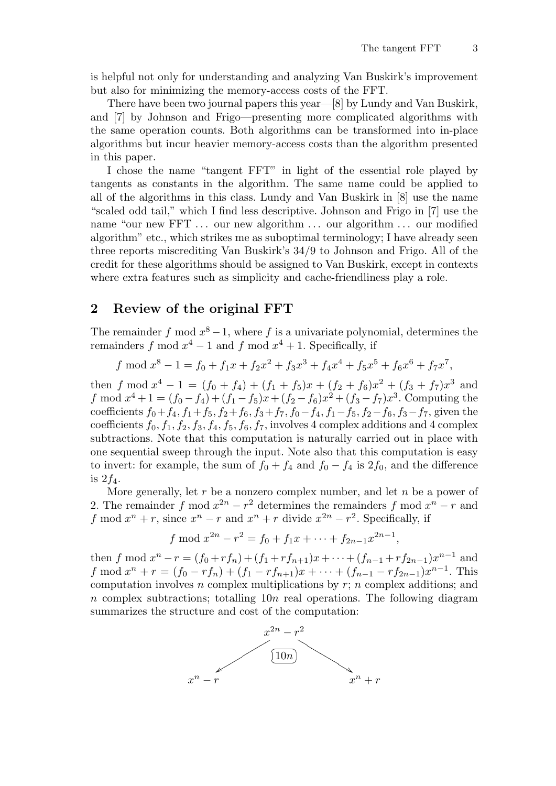is helpful not only for understanding and analyzing Van Buskirk's improvement but also for minimizing the memory-access costs of the FFT.

There have been two journal papers this year—[8] by Lundy and Van Buskirk, and [7] by Johnson and Frigo—presenting more complicated algorithms with the same operation counts. Both algorithms can be transformed into in-place algorithms but incur heavier memory-access costs than the algorithm presented in this paper.

I chose the name "tangent FFT" in light of the essential role played by tangents as constants in the algorithm. The same name could be applied to all of the algorithms in this class. Lundy and Van Buskirk in [8] use the name "scaled odd tail," which I find less descriptive. Johnson and Frigo in [7] use the name "our new FFT ... our new algorithm ... our algorithm ... our modified algorithm" etc., which strikes me as suboptimal terminology; I have already seen three reports miscrediting Van Buskirk's 34/9 to Johnson and Frigo. All of the credit for these algorithms should be assigned to Van Buskirk, except in contexts where extra features such as simplicity and cache-friendliness play a role.

## 2 Review of the original FFT

The remainder f mod  $x^8 - 1$ , where f is a univariate polynomial, determines the remainders f mod  $x^4 - 1$  and f mod  $x^4 + 1$ . Specifically, if

$$
f \mod x^8 - 1 = f_0 + f_1x + f_2x^2 + f_3x^3 + f_4x^4 + f_5x^5 + f_6x^6 + f_7x^7
$$

then f mod  $x^4 - 1 = (f_0 + f_4) + (f_1 + f_5)x + (f_2 + f_6)x^2 + (f_3 + f_7)x^3$  and f mod  $x^4 + 1 = (f_0 - f_4) + (f_1 - f_5)x + (f_2 - f_6)x^2 + (f_3 - f_7)x^3$ . Computing the coefficients  $f_0+f_4$ ,  $f_1+f_5$ ,  $f_2+f_6$ ,  $f_3+f_7$ ,  $f_0-f_4$ ,  $f_1-f_5$ ,  $f_2-f_6$ ,  $f_3-f_7$ , given the coefficients  $f_0, f_1, f_2, f_3, f_4, f_5, f_6, f_7$ , involves 4 complex additions and 4 complex subtractions. Note that this computation is naturally carried out in place with one sequential sweep through the input. Note also that this computation is easy to invert: for example, the sum of  $f_0 + f_4$  and  $f_0 - f_4$  is  $2f_0$ , and the difference is  $2f_4$ .

More generally, let  $r$  be a nonzero complex number, and let  $n$  be a power of 2. The remainder f mod  $x^{2n} - r^2$  determines the remainders f mod  $x^n - r$  and f mod  $x^n + r$ , since  $x^n - r$  and  $x^n + r$  divide  $x^{2n} - r^2$ . Specifically, if

$$
f \bmod x^{2n} - r^2 = f_0 + f_1 x + \dots + f_{2n-1} x^{2n-1},
$$

then f mod  $x^n - r = (f_0 + rf_n) + (f_1 + rf_{n+1})x + \cdots + (f_{n-1} + rf_{2n-1})x^{n-1}$  and f mod  $x^n + r = (f_0 - rf_n) + (f_1 - rf_{n+1})x + \cdots + (f_{n-1} - rf_{2n-1})x^{n-1}$ . This computation involves  $n$  complex multiplications by  $r$ ;  $n$  complex additions; and  $n$  complex subtractions; totalling 10n real operations. The following diagram summarizes the structure and cost of the computation:

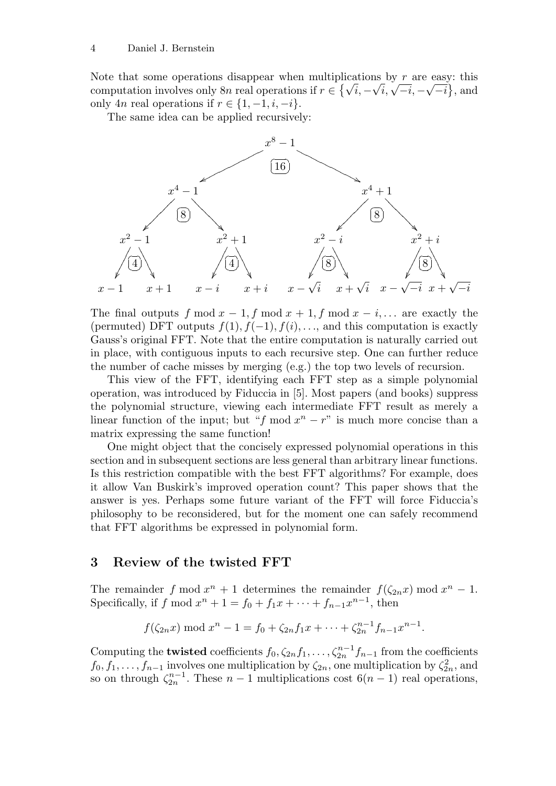Note that some operations disappear when multiplications by r are easy: this Note that some operations disappear when multiplications by r are easy: this computation involves only 8n real operations if  $r \in \{\sqrt{i}, -\sqrt{i}, \sqrt{-i}, -\sqrt{-i}\}$ , and only 4n real operations if  $r \in \{1, -1, i, -i\}.$ 

The same idea can be applied recursively:



The final outputs f mod  $x - 1$ , f mod  $x + 1$ , f mod  $x - i$ ,... are exactly the (permuted) DFT outputs  $f(1), f(-1), f(i), \ldots$ , and this computation is exactly Gauss's original FFT. Note that the entire computation is naturally carried out in place, with contiguous inputs to each recursive step. One can further reduce the number of cache misses by merging (e.g.) the top two levels of recursion.

This view of the FFT, identifying each FFT step as a simple polynomial operation, was introduced by Fiduccia in [5]. Most papers (and books) suppress the polynomial structure, viewing each intermediate FFT result as merely a linear function of the input; but "f mod  $x<sup>n</sup> - r$ " is much more concise than a matrix expressing the same function!

One might object that the concisely expressed polynomial operations in this section and in subsequent sections are less general than arbitrary linear functions. Is this restriction compatible with the best FFT algorithms? For example, does it allow Van Buskirk's improved operation count? This paper shows that the answer is yes. Perhaps some future variant of the FFT will force Fiduccia's philosophy to be reconsidered, but for the moment one can safely recommend that FFT algorithms be expressed in polynomial form.

#### 3 Review of the twisted FFT

The remainder f mod  $x^n + 1$  determines the remainder  $f(\zeta_{2n}x) \mod x^n - 1$ . Specifically, if f mod  $x^n + 1 = f_0 + f_1x + \cdots + f_{n-1}x^{n-1}$ , then

$$
f(\zeta_{2n}x) \bmod x^n - 1 = f_0 + \zeta_{2n}f_1x + \cdots + \zeta_{2n}^{n-1}f_{n-1}x^{n-1}.
$$

Computing the **twisted** coefficients  $f_0, \zeta_{2n} f_1, \ldots, \zeta_{2n}^{n-1} f_{n-1}$  from the coefficients  $f_0, f_1, \ldots, f_{n-1}$  involves one multiplication by  $\zeta_{2n}$ , one multiplication by  $\zeta_{2n}^2$ , and so on through  $\zeta_{2n}^{n-1}$  $\frac{n-1}{2n}$ . These  $n-1$  multiplications cost  $6(n-1)$  real operations,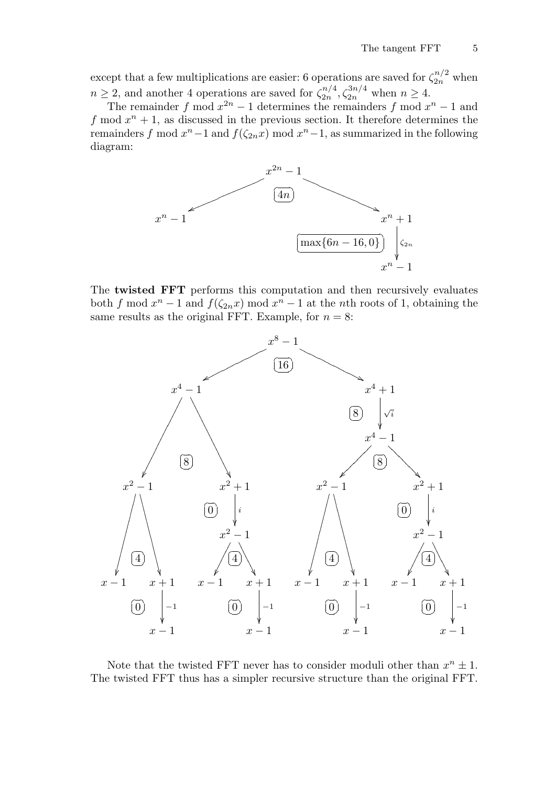except that a few multiplications are easier: 6 operations are saved for  $\zeta_{2n}^{n/2}$  when  $n \geq 2$ , and another 4 operations are saved for  $\zeta_{2n}^{n/4}$  $\zeta_{2n}^{n/4}, \zeta_{2n}^{3n/4}$  when  $n \ge 4$ .

The remainder f mod  $x^{2n} - 1$  determines the remainders f mod  $x^n - 1$  and f mod  $x^n + 1$ , as discussed in the previous section. It therefore determines the remainders f mod  $x^n - 1$  and  $f(\zeta_{2n}x)$  mod  $x^n - 1$ , as summarized in the following diagram:



The twisted FFT performs this computation and then recursively evaluates both f mod  $x^n - 1$  and  $f(\zeta_{2n} x)$  mod  $x^n - 1$  at the nth roots of 1, obtaining the same results as the original FFT. Example, for  $n = 8$ :



Note that the twisted FFT never has to consider moduli other than  $x^n \pm 1$ . The twisted FFT thus has a simpler recursive structure than the original FFT.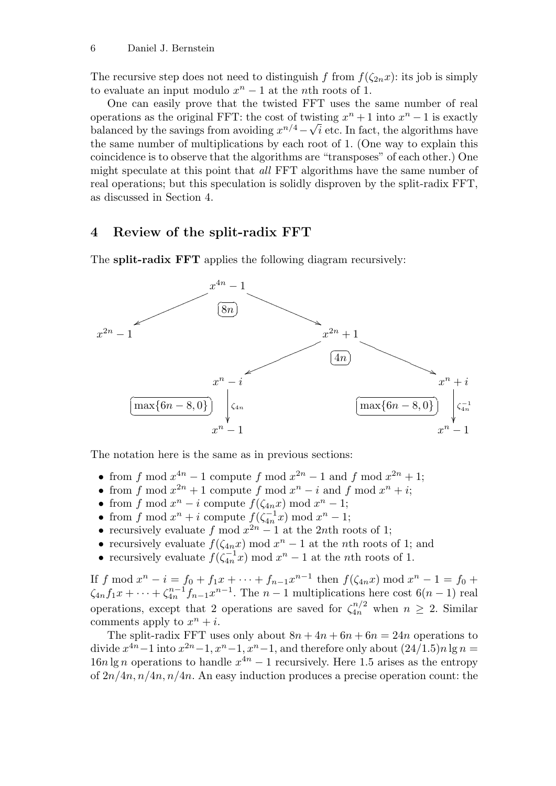The recursive step does not need to distinguish f from  $f(\zeta_{2n}x)$ : its job is simply to evaluate an input modulo  $x^n - 1$  at the *n*th roots of 1.

One can easily prove that the twisted FFT uses the same number of real operations as the original FFT: the cost of twisting  $x^n + 1$  into  $x^n - 1$  is exactly balanced by the savings from avoiding  $x^{n/4} - \sqrt{i}$  etc. In fact, the algorithms have the same number of multiplications by each root of 1. (One way to explain this coincidence is to observe that the algorithms are "transposes" of each other.) One might speculate at this point that all FFT algorithms have the same number of real operations; but this speculation is solidly disproven by the split-radix FFT, as discussed in Section 4.

## 4 Review of the split-radix FFT

The **split-radix FFT** applies the following diagram recursively:



The notation here is the same as in previous sections:

- from f mod  $x^{4n} 1$  compute f mod  $x^{2n} 1$  and f mod  $x^{2n} + 1$ ;
- from f mod  $x^{2n} + 1$  compute f mod  $x^n i$  and f mod  $x^n + i$ ;
- from f mod  $x^n i$  compute  $f(\zeta_{4n}x) \text{ mod } x^n 1$ ;
- from f mod  $x^n + i$  compute  $f(\zeta_{4n}^{-1})$  $\binom{-1}{4n}x \mod x^n - 1;$
- recursively evaluate f mod  $x^{2n} 1$  at the 2nth roots of 1;
- recursively evaluate  $f(\zeta_{4n}x) \mod x^n 1$  at the *n*th roots of 1; and
- recursively evaluate  $f(\zeta_{4n}^{-1})$  $\int_{4n}^{-1}x\,$  mod  $x^n-1$  at the *n*th roots of 1.

If f mod  $x^n - i = f_0 + f_1 x + \dots + f_{n-1} x^{n-1}$  then  $f(\zeta_{4n} x) \text{ mod } x^n - 1 = f_0 +$  $\zeta_{4n}f_1x+\cdots+\zeta_{4n}^{n-1}$  $a_{4n}^{n-1}f_{n-1}x^{n-1}$ . The  $n-1$  multiplications here cost  $6(n-1)$  real operations, except that 2 operations are saved for  $\zeta_{4n}^{n/2}$  when  $n \geq 2$ . Similar comments apply to  $x^n + i$ .

The split-radix FFT uses only about  $8n + 4n + 6n + 6n = 24n$  operations to divide  $x^{4n} - 1$  into  $x^{2n} - 1$ ,  $x^n - 1$ ,  $x^n - 1$ , and therefore only about  $(24/1.5)n \lg n =$  $16n \lg n$  operations to handle  $x^{4n} - 1$  recursively. Here 1.5 arises as the entropy of  $2n/4n$ ,  $n/4n$ ,  $n/4n$ . An easy induction produces a precise operation count: the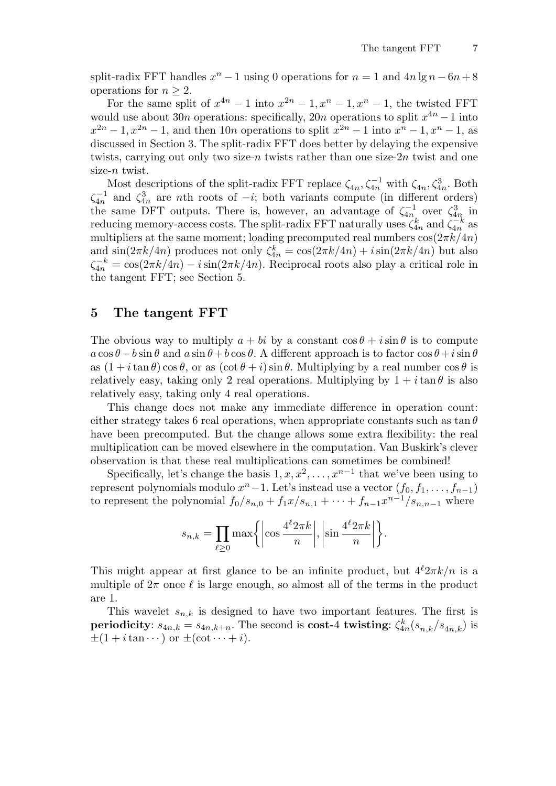split-radix FFT handles  $x^n - 1$  using 0 operations for  $n = 1$  and  $4n \lg n - 6n + 8$ operations for  $n > 2$ .

For the same split of  $x^{4n} - 1$  into  $x^{2n} - 1$ ,  $x^{n} - 1$ ,  $x^{n} - 1$ , the twisted FFT would use about 30n operations: specifically, 20n operations to split  $x^{4n} - 1$  into  $x^{2n} - 1, x^{2n} - 1$ , and then 10*n* operations to split  $x^{2n} - 1$  into  $x^n - 1, x^n - 1$ , as discussed in Section 3. The split-radix FFT does better by delaying the expensive twists, carrying out only two size-n twists rather than one size- $2n$  twist and one size-n twist.

Most descriptions of the split-radix FFT replace  $\zeta_{4n}, \zeta_{4n}^{-1}$  with  $\zeta_{4n}, \zeta_{4n}^3$ . Both  $\zeta_{4n}^{-1}$  $\zeta_{4n}^{-1}$  and  $\zeta_{4n}^{3}$  are *n*th roots of  $-i$ ; both variants compute (in different orders) the same DFT outputs. There is, however, an advantage of  $\zeta_{4n}^{-1}$  $\zeta_{4n}^{-1}$  over  $\zeta_{4n}^{3}$  in reducing memory-access costs. The split-radix FFT naturally uses  $\zeta_{4n}^k$  and  $\zeta_{4n}^{-k}$  $\frac{-\kappa}{4n}$  as multipliers at the same moment; loading precomputed real numbers  $\cos(2\pi k/4n)$ and  $\sin(2\pi k/4n)$  produces not only  $\zeta_{4n}^k = \cos(2\pi k/4n) + i\sin(2\pi k/4n)$  but also  $\zeta_{4n}^{-k} = \cos(2\pi k/4n) - i\sin(2\pi k/4n)$ . Reciprocal roots also play a critical role in the tangent FFT; see Section 5.

#### 5 The tangent FFT

The obvious way to multiply  $a + bi$  by a constant  $\cos \theta + i \sin \theta$  is to compute  $a \cos \theta - b \sin \theta$  and  $a \sin \theta + b \cos \theta$ . A different approach is to factor  $\cos \theta + i \sin \theta$ as  $(1 + i \tan \theta) \cos \theta$ , or as  $(\cot \theta + i) \sin \theta$ . Multiplying by a real number  $\cos \theta$  is relatively easy, taking only 2 real operations. Multiplying by  $1 + i \tan \theta$  is also relatively easy, taking only 4 real operations.

This change does not make any immediate difference in operation count: either strategy takes 6 real operations, when appropriate constants such as  $\tan \theta$ have been precomputed. But the change allows some extra flexibility: the real multiplication can be moved elsewhere in the computation. Van Buskirk's clever observation is that these real multiplications can sometimes be combined!

Specifically, let's change the basis  $1, x, x^2, \ldots, x^{n-1}$  that we've been using to represent polynomials modulo  $x^{n}-1$ . Let's instead use a vector  $(f_0, f_1, \ldots, f_{n-1})$ to represent the polynomial  $f_0/s_{n,0} + f_1x/s_{n,1} + \cdots + f_{n-1}x^{n-1}/s_{n,n-1}$  where

$$
s_{n,k} = \prod_{\ell \ge 0} \max \left\{ \left| \cos \frac{4^{\ell} 2\pi k}{n} \right|, \left| \sin \frac{4^{\ell} 2\pi k}{n} \right| \right\}.
$$

This might appear at first glance to be an infinite product, but  $4^{\ell}2\pi k/n$  is a multiple of  $2\pi$  once  $\ell$  is large enough, so almost all of the terms in the product are 1.

This wavelet  $s_{n,k}$  is designed to have two important features. The first is periodicity:  $s_{4n,k} = s_{4n,k+n}$ . The second is cost-4 twisting:  $\zeta_{4n}^k (s_{n,k}/s_{4n,k})$  is  $\pm(1+i\tan\cdots)$  or  $\pm(\cot\cdots+i)$ .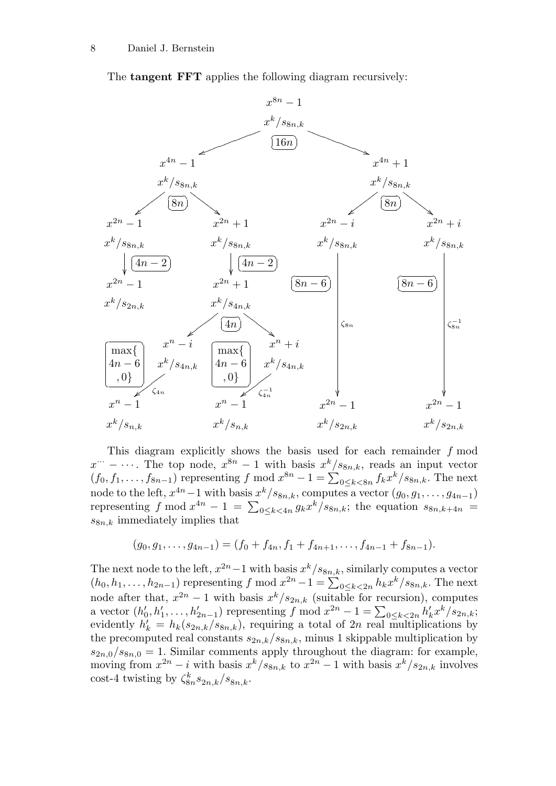The tangent FFT applies the following diagram recursively:



This diagram explicitly shows the basis used for each remainder  $f$  mod  $x^{\cdots} - \cdots$ . The top node,  $x^{8n} - 1$  with basis  $x^{k}/s_{8n,k}$ , reads an input vector  $(f_0, f_1, \ldots, f_{8n-1})$  representing f mod  $x^{8n} - 1 = \sum_{0 \le k < 8n} f_k x^k / s_{8n,k}$ . The next node to the left,  $x^{4n} - 1$  with basis  $x^k / s_{8n,k}$ , computes a vector  $(g_0, g_1, \ldots, g_{4n-1})$ representing f mod  $x^{4n} - 1 = \sum_{0 \le k \le 4n} g_k x^k / s_{8n,k}$ ; the equation  $s_{8n,k+4n} =$  $s_{8n,k}$  immediately implies that

$$
(g_0,g_1,\ldots,g_{4n-1})=(f_0+f_{4n},f_1+f_{4n+1},\ldots,f_{4n-1}+f_{8n-1}).
$$

The next node to the left,  $x^{2n}-1$  with basis  $x^k/s_{8n,k}$ , similarly computes a vector  $(h_0, h_1, \ldots, h_{2n-1})$  representing f mod  $x^{2n} - 1 = \sum_{0 \le k < 2n} h_k x^k / s_{8n,k}$ . The next node after that,  $x^{2n} - 1$  with basis  $x^k / s_{2n,k}$  (suitable for recursion), computes a vector  $(h'_0, h'_1, \ldots, h'_{2n-1})$  representing f mod  $x^{2n} - 1 = \sum_{0 \le k \le 2n} h'_k x^k / s_{2n,k}$ ; evidently  $h'_k = h_k(s_{2n,k}/s_{8n,k})$ , requiring a total of 2n real multiplications by the precomputed real constants  $s_{2n,k}/s_{8n,k}$ , minus 1 skippable multiplication by  $s_{2n,0}/s_{8n,0} = 1$ . Similar comments apply throughout the diagram: for example, moving from  $x^{2n} - i$  with basis  $x^k / s_{8n,k}$  to  $x^{2n} - 1$  with basis  $x^k / s_{2n,k}$  involves cost-4 twisting by  $\zeta_{8n}^k s_{2n,k}/s_{8n,k}$ .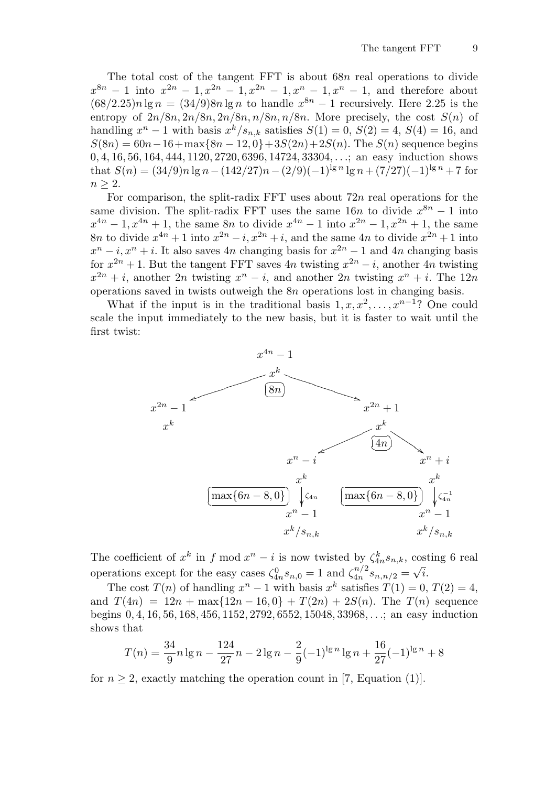The total cost of the tangent FFT is about 68n real operations to divide  $x^{8n} - 1$  into  $x^{2n} - 1, x^{2n} - 1, x^{2n} - 1, x^{n} - 1, x^{n} - 1$ , and therefore about  $(68/2.25)n \lg n = (34/9)8n \lg n$  to handle  $x^{8n} - 1$  recursively. Here 2.25 is the entropy of  $2n/8n$ ,  $2n/8n$ ,  $2n/8n$ ,  $n/8n$ ,  $n/8n$ . More precisely, the cost  $S(n)$  of handling  $x^n - 1$  with basis  $x^k / s_{n,k}$  satisfies  $S(1) = 0$ ,  $S(2) = 4$ ,  $S(4) = 16$ , and  $S(8n) = 60n-16+\max\{8n-12,0\}+3S(2n)+2S(n)$ . The  $S(n)$  sequence begins 0, 4, 16, 56, 164, 444, 1120, 2720, 6396, 14724, 33304, . . .; an easy induction shows that  $S(n) = (34/9)n \lg n - (142/27)n - (2/9)(-1)^{\lg n} \lg n + (7/27)(-1)^{\lg n} + 7$  for  $n \geq 2$ .

For comparison, the split-radix FFT uses about  $72n$  real operations for the same division. The split-radix FFT uses the same  $16n$  to divide  $x^{8n} - 1$  into  $x^{4n} - 1, x^{4n} + 1$ , the same 8n to divide  $x^{4n} - 1$  into  $x^{2n} - 1, x^{2n} + 1$ , the same 8n to divide  $x^{4n} + 1$  into  $x^{2n} - i$ ,  $x^{2n} + i$ , and the same 4n to divide  $x^{2n} + 1$  into  $x^n - i$ ,  $x^n + i$ . It also saves 4n changing basis for  $x^{2n} - 1$  and 4n changing basis for  $x^{2n} + 1$ . But the tangent FFT saves 4n twisting  $x^{2n} - i$ , another 4n twisting  $x^{2n} + i$ , another  $2n$  twisting  $x^n - i$ , and another  $2n$  twisting  $x^n + i$ . The  $12n$ operations saved in twists outweigh the 8n operations lost in changing basis.

What if the input is in the traditional basis  $1, x, x^2, \ldots, x^{n-1}$ ? One could scale the input immediately to the new basis, but it is faster to wait until the first twist:



The coefficient of  $x^k$  in f mod  $x^n - i$  is now twisted by  $\zeta_{4n}^k s_{n,k}$ , costing 6 real operations except for the easy cases  $\zeta_{4n}^0 s_{n,0} = 1$  and  $\zeta_{4n}^{n/2}$  $\frac{4n^{12}s_{n,n/2}}{s_{n,n/2}} =$ √ i.

The cost  $T(n)$  of handling  $x^n - 1$  with basis  $x^k$  satisfies  $T(1) = 0, T(2) = 4$ , and  $T(4n) = 12n + \max\{12n - 16, 0\} + T(2n) + 2S(n)$ . The  $T(n)$  sequence begins 0, 4, 16, 56, 168, 456, 1152, 2792, 6552, 15048, 33968, . . .; an easy induction shows that

$$
T(n) = \frac{34}{9}n \lg n - \frac{124}{27}n - 2 \lg n - \frac{2}{9}(-1)^{\lg n} \lg n + \frac{16}{27}(-1)^{\lg n} + 8
$$

for  $n \geq 2$ , exactly matching the operation count in [7, Equation (1)].